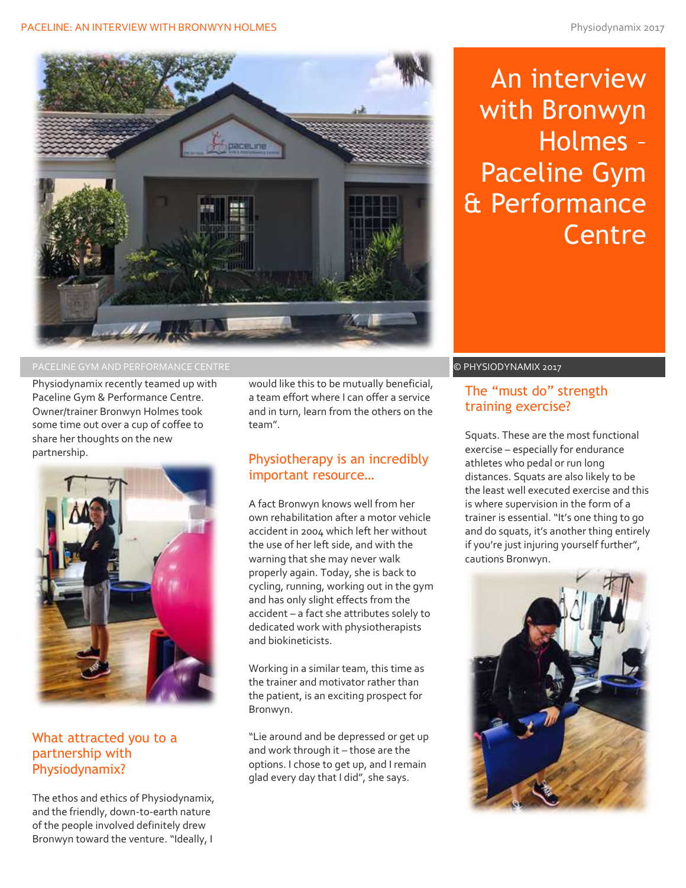#### PACELINE: AN INTERVIEW WITH BRONWYN HOLMES **Physiodynamix 2017**



#### PACELINE GYM AND PERFORMANCE CENTRE © © PHYSIODYNAMIX 2017

Physiodynamix recently teamed up with Paceline Gym & Performance Centre. Owner/trainer Bronwyn Holmes took some time out over a cup of coffee to share her thoughts on the new partnership.



### What attracted you to a partnership with Physiodynamix?

The ethos and ethics of Physiodynamix, and the friendly, down-to-earth nature of the people involved definitely drew Bronwyn toward the venture. "Ideally, I

would like this to be mutually beneficial, a team effort where I can offer a service and in turn, learn from the others on the team".

#### Physiotherapy is an incredibly important resource…

A fact Bronwyn knows well from her own rehabilitation after a motor vehicle accident in 2004 which left her without the use of her left side, and with the warning that she may never walk properly again. Today, she is back to cycling, running, working out in the gym and has only slight effects from the accident – a fact she attributes solely to dedicated work with physiotherapists and biokineticists.

Working in a similar team, this time as the trainer and motivator rather than the patient, is an exciting prospect for Bronwyn.

"Lie around and be depressed or get up and work through it – those are the options. I chose to get up, and I remain glad every day that I did", she says.

# An interview with Bronwyn Holmes – Paceline Gym & Performance **Centre**

#### The "must do" strength training exercise?

Squats. These are the most functional exercise – especially for endurance athletes who pedal or run long distances. Squats are also likely to be the least well executed exercise and this is where supervision in the form of a trainer is essential. "It's one thing to go and do squats, it's another thing entirely if you're just injuring yourself further", cautions Bronwyn.